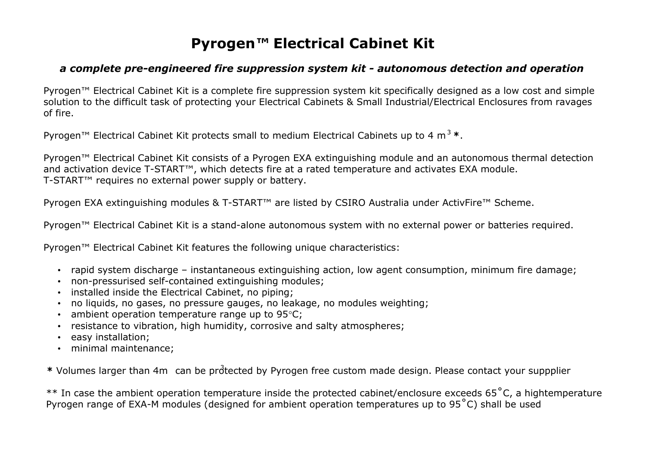## **Pyrogen***™* **Electrical Cabinet Kit**

## *a complete pre-engineered fire suppression system kit - autonomous detection and operation*

Pyrogen™ Electrical Cabinet Kit is a complete fire suppression system kit specifically designed as a low cost and simple solution to the difficult task of protecting your Electrical Cabinets & Small Industrial/Electrical Enclosures from ravages of fire.

Pyrogen™ Electrical Cabinet Kit protects small to medium Electrical Cabinets up to 4 m<sup>3</sup>**\***.

Pyrogen™ Electrical Cabinet Kit consists of a Pyrogen EXA extinguishing module and an autonomous thermal detection and activation device T-START™, which detects fire at a rated temperature and activates EXA module. T-START™ requires no external power supply or battery.

Pyrogen EXA extinguishing modules & T-START™ are listed by CSIRO Australia under ActivFire™ Scheme.

Pyrogen™ Electrical Cabinet Kit is a stand-alone autonomous system with no external power or batteries required.

Pyrogen™ Electrical Cabinet Kit features the following unique characteristics:

- rapid system discharge instantaneous extinguishing action, low agent consumption, minimum fire damage;
- non-pressurised self-contained extinguishing modules;
- installed inside the Electrical Cabinet, no piping;
- no liquids, no gases, no pressure gauges, no leakage, no modules weighting;
- ambient operation temperature range up to  $95^{\circ}$ C;
- resistance to vibration, high humidity, corrosive and salty atmospheres;
- easy installation;
- minimal maintenance;

\* Volumes larger than 4m can be protected by Pyrogen free custom made design. Please contact your suppplier

\*\* In case the ambient operation temperature inside the protected cabinet/enclosure exceeds 65˚C, a hightemperature Pyrogen range of EXA-M modules (designed for ambient operation temperatures up to 95˚C) shall be used